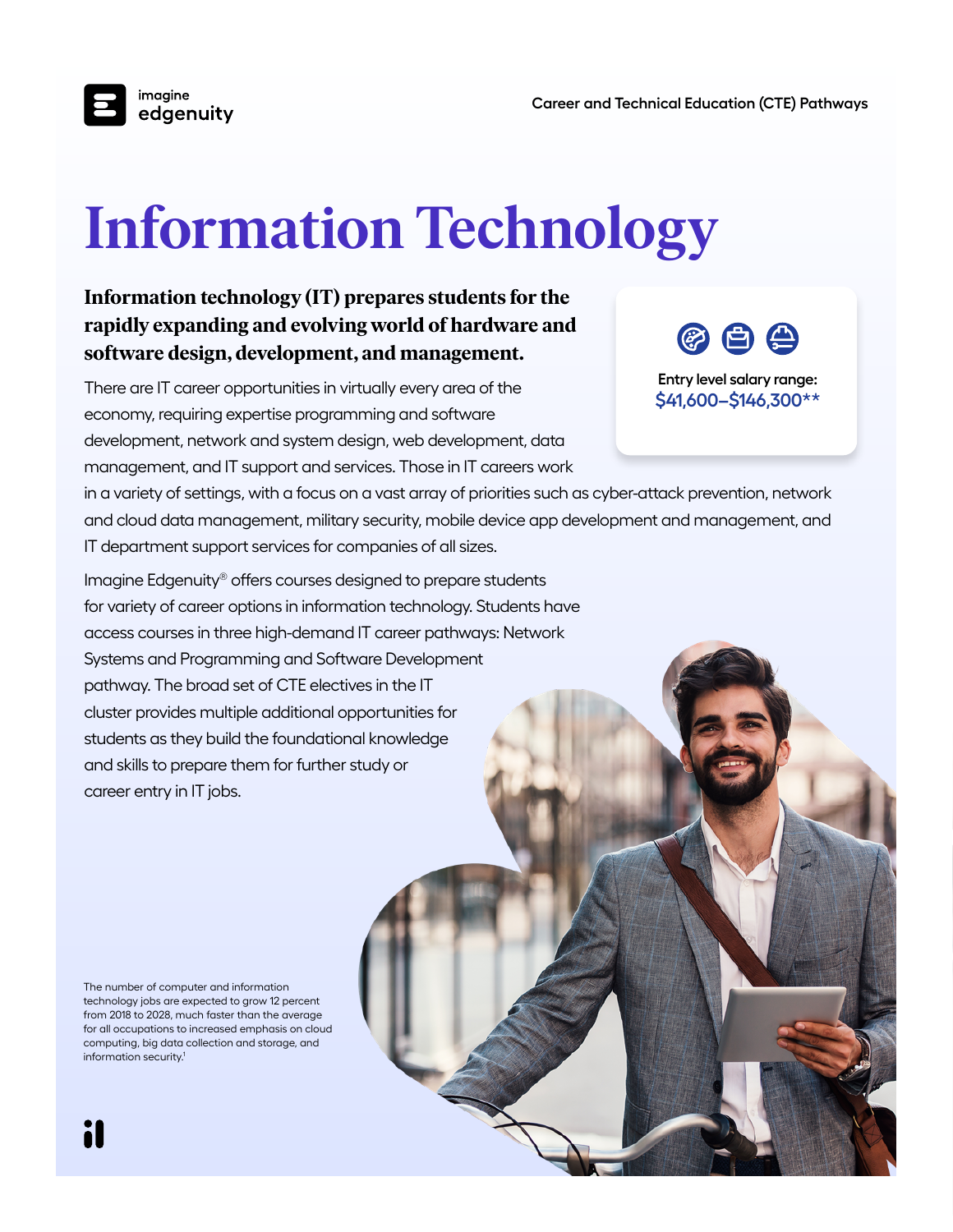imagine edgenuity

# **Information Technology**

### **Information technology (IT) prepares students for the rapidly expanding and evolving world of hardware and software design, development, and management.**

There are IT career opportunities in virtually every area of the economy, requiring expertise programming and software development, network and system design, web development, data management, and IT support and services. Those in IT careers work

in a variety of settings, with a focus on a vast array of priorities such as cyber-attack prevention, network and cloud data management, military security, mobile device app development and management, and IT department support services for companies of all sizes.

Imagine Edgenuity® offers courses designed to prepare students for variety of career options in information technology. Students have access courses in three high-demand IT career pathways: Network Systems and Programming and Software Development pathway. The broad set of CTE electives in the IT cluster provides multiple additional opportunities for students as they build the foundational knowledge and skills to prepare them for further study or career entry in IT jobs.

The number of computer and information technology jobs are expected to grow 12 percent from 2018 to 2028, much faster than the average for all occupations to increased emphasis on cloud computing, big data collection and storage, and information security.1



**Entry level salary range: \$41,600–\$146,300\*\***